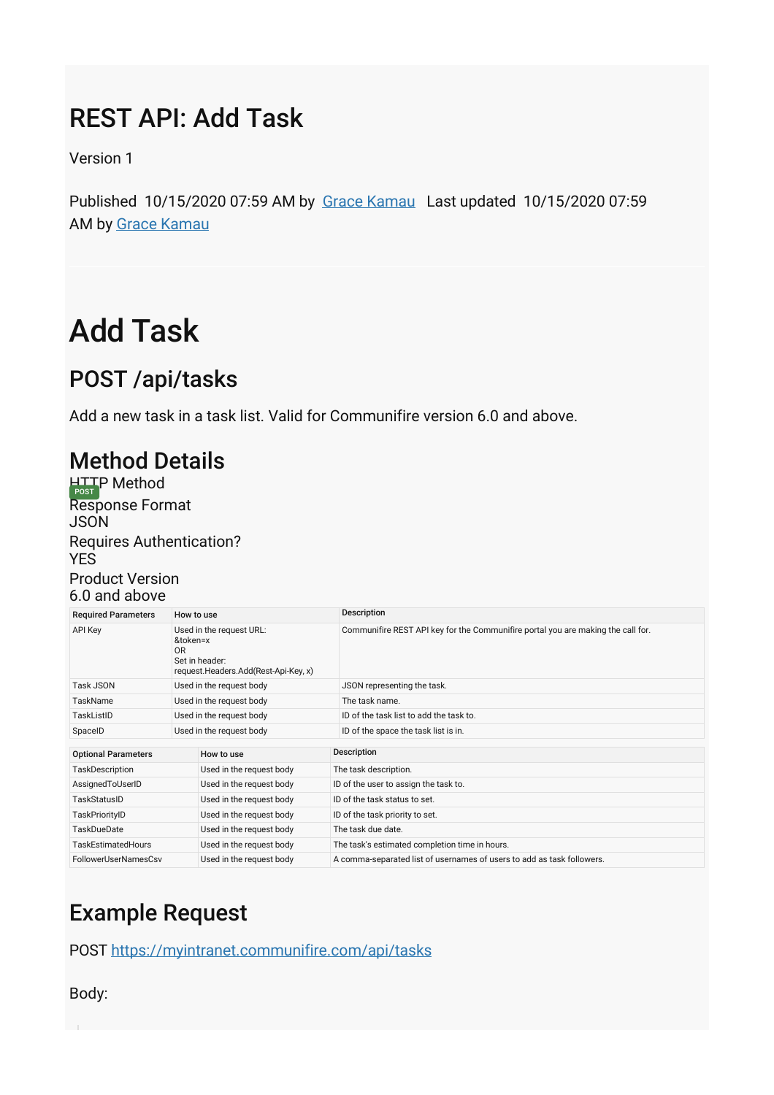## REST API: Add Task

Version 1

Published 10/15/2020 07:59 AM by [Grace Kamau](https://my.axerosolutions.com/people/gskamau) Last updated 10/15/2020 07:59 AM by [Grace Kamau](https://my.axerosolutions.com/people/gskamau)

# Add Task

### POST /api/tasks

Add a new task in a task list. Valid for Communifire version 6.0 and above.

#### Method Details

HTTP Method<br>Response Format JSON Requires Authentication? **YES** Product Version 6.0 and above

| <b>Required Parameters</b> | How to use                                                                                           |                          | Description                                                                      |
|----------------------------|------------------------------------------------------------------------------------------------------|--------------------------|----------------------------------------------------------------------------------|
| <b>API Key</b>             | Used in the request URL:<br>&token=x<br>OR<br>Set in header:<br>request.Headers.Add(Rest-Api-Key, x) |                          | Communifire REST API key for the Communifire portal you are making the call for. |
| <b>Task JSON</b>           | Used in the request body                                                                             |                          | JSON representing the task.                                                      |
| <b>TaskName</b>            | Used in the request body                                                                             |                          | The task name.                                                                   |
| TaskListID                 | Used in the request body                                                                             |                          | ID of the task list to add the task to.                                          |
| SpaceID                    | Used in the request body                                                                             |                          | ID of the space the task list is in.                                             |
|                            |                                                                                                      |                          |                                                                                  |
| <b>Optional Parameters</b> |                                                                                                      | How to use               | Description                                                                      |
| <b>TaskDescription</b>     |                                                                                                      | Used in the request body | The task description.                                                            |
| AssignedToUserID           |                                                                                                      | Used in the request body | ID of the user to assign the task to.                                            |
| TaskStatusID               |                                                                                                      | Used in the request body | ID of the task status to set.                                                    |
| TaskPriorityID             |                                                                                                      | Used in the request body | ID of the task priority to set.                                                  |
| <b>TaskDueDate</b>         |                                                                                                      | Used in the request body | The task due date.                                                               |
| <b>TaskEstimatedHours</b>  |                                                                                                      | Used in the request body | The task's estimated completion time in hours.                                   |
| FollowerUserNamesCsv       |                                                                                                      | Used in the request body | A comma-separated list of usernames of users to add as task followers.           |

## Example Request

POST [https://myintranet.communifire.com/api/tasks](https://my.axerosolutions.com/wiki-cf/print-content.aspx?contentID=78505&spaceID=5&securedtoken=rcnToZdtA8OomXYzpclKrQdbUyiFh8zdEQkuVacz0TZ2UqUAIgJrk60JVdGVWGk9#)

Body: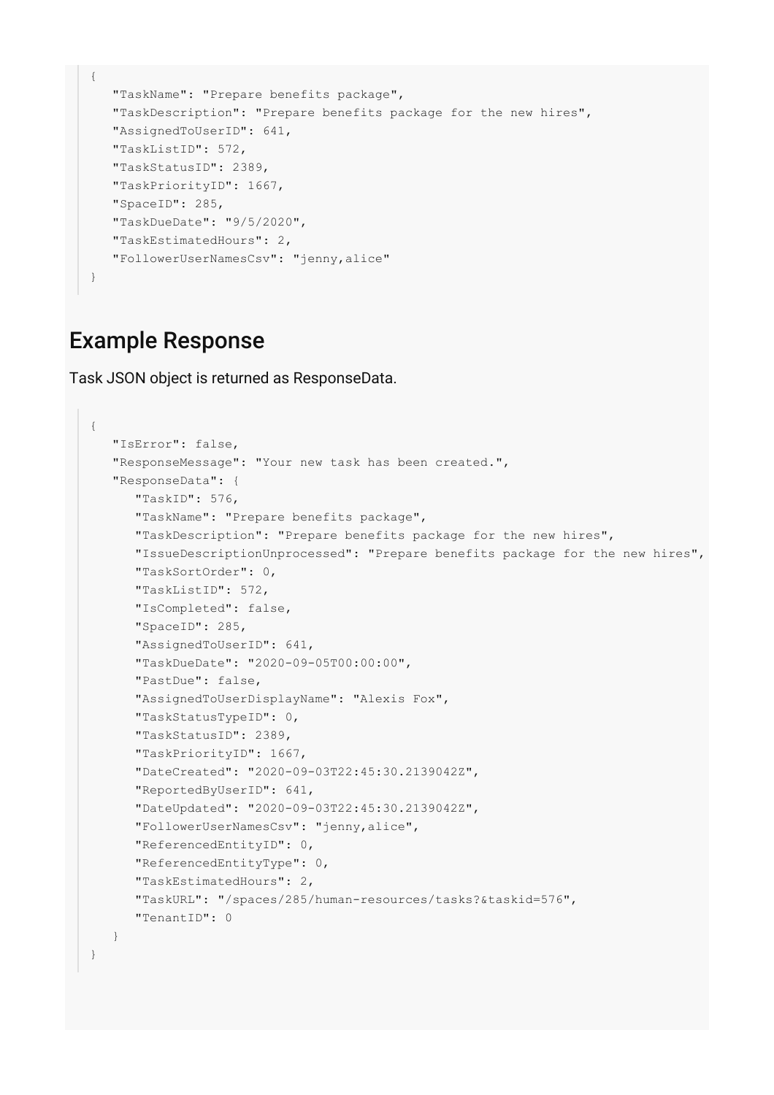```
{
    "TaskName": "Prepare benefits package",
   "TaskDescription": "Prepare benefits package for the new hires",
   "AssignedToUserID": 641,
   "TaskListID": 572,
   "TaskStatusID": 2389,
   "TaskPriorityID": 1667,
   "SpaceID": 285,
   "TaskDueDate": "9/5/2020",
   "TaskEstimatedHours": 2,
   "FollowerUserNamesCsv": "jenny,alice"
}
```
#### Example Response

Task JSON object is returned as ResponseData.

```
{
    "IsError": false,
    "ResponseMessage": "Your new task has been created.",
    "ResponseData": {
       "TaskID": 576,
       "TaskName": "Prepare benefits package",
       "TaskDescription": "Prepare benefits package for the new hires",
       "IssueDescriptionUnprocessed": "Prepare benefits package for the new hires",
       "TaskSortOrder": 0,
       "TaskListID": 572,
       "IsCompleted": false,
       "SpaceID": 285,
       "AssignedToUserID": 641,
       "TaskDueDate": "2020-09-05T00:00:00",
       "PastDue": false,
       "AssignedToUserDisplayName": "Alexis Fox",
       "TaskStatusTypeID": 0,
       "TaskStatusID": 2389,
       "TaskPriorityID": 1667,
       "DateCreated": "2020-09-03T22:45:30.2139042Z",
       "ReportedByUserID": 641,
       "DateUpdated": "2020-09-03T22:45:30.2139042Z",
       "FollowerUserNamesCsv": "jenny,alice",
       "ReferencedEntityID": 0,
       "ReferencedEntityType": 0,
       "TaskEstimatedHours": 2,
       "TaskURL": "/spaces/285/human-resources/tasks?&taskid=576",
       "TenantID": 0
    }
}
```